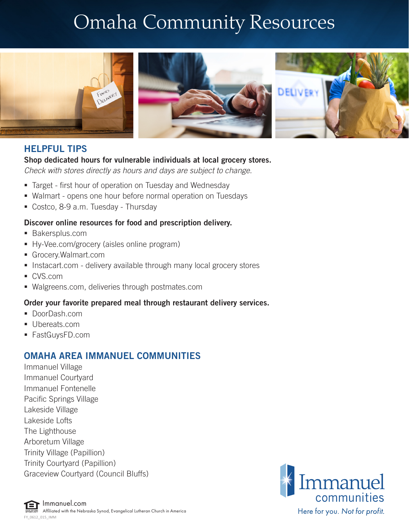# Omaha Community Resources



### HELPFUL TIPS

#### Shop dedicated hours for vulnerable individuals at local grocery stores.

*Check with stores directly as hours and days are subject to change.*

- Target first hour of operation on Tuesday and Wednesday
- Walmart opens one hour before normal operation on Tuesdays
- Costco, 8-9 a.m. Tuesday Thursday

#### Discover online resources for food and prescription delivery.

- Bakersplus.com
- Hy-Vee.com/grocery (aisles online program)
- Grocery.Walmart.com
- **Instacart.com delivery available through many local grocery stores**
- CVS.com
- Walgreens.com, deliveries through postmates.com

#### Order your favorite prepared meal through restaurant delivery services.

- DoorDash.com
- Ubereats.com
- FastGuysFD.com

## OMAHA AREA IMMANUEL COMMUNITIES

Immanuel Village Immanuel Courtyard Immanuel Fontenelle Pacific Springs Village Lakeside Village Lakeside Lofts The Lighthouse Arboretum Village Trinity Village (Papillion) Trinity Courtyard (Papillion) Graceview Courtyard (Council Bluffs)